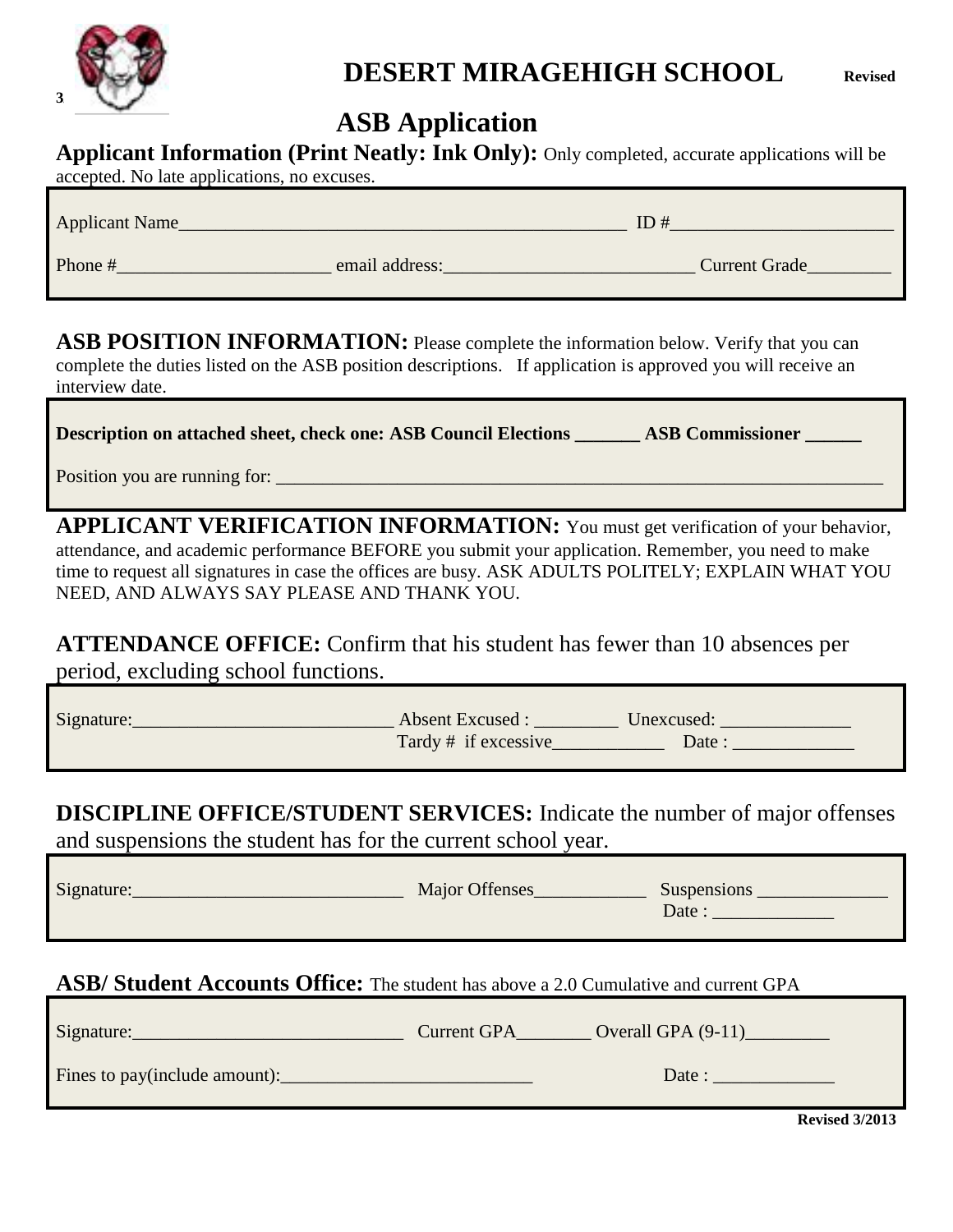

# **DESERT MIRAGEHIGH SCHOOL Revised**

## **ASB Application**

|  | Applicant Information (Print Neatly: Ink Only): Only completed, accurate applications will be |
|--|-----------------------------------------------------------------------------------------------|
|--|-----------------------------------------------------------------------------------------------|

| $\alpha$ accepted. The rate applications, no excluses. |                |               |
|--------------------------------------------------------|----------------|---------------|
| <b>Applicant Name</b>                                  |                | ID#           |
| Phone #                                                | email address: | Current Grade |

**ASB POSITION INFORMATION:** Please complete the information below. Verify that you can complete the duties listed on the ASB position descriptions. If application is approved you will receive an interview date.

**Description on attached sheet, check one: ASB Council Elections \_\_\_\_\_\_\_ ASB Commissioner \_\_\_\_\_\_**

Position you are running for: \_\_\_\_\_\_\_\_\_\_\_\_\_\_\_\_\_\_\_\_\_\_\_\_\_\_\_\_\_\_\_\_\_\_\_\_\_\_\_\_\_\_\_\_\_\_\_\_\_\_\_\_\_\_\_\_\_\_\_\_\_\_\_\_\_

accepted. No late applications, no excuses.

**APPLICANT VERIFICATION INFORMATION:** You must get verification of your behavior, attendance, and academic performance BEFORE you submit your application. Remember, you need to make time to request all signatures in case the offices are busy. ASK ADULTS POLITELY; EXPLAIN WHAT YOU NEED, AND ALWAYS SAY PLEASE AND THANK YOU.

**ATTENDANCE OFFICE:** Confirm that his student has fewer than 10 absences per period, excluding school functions.

| Signature: | <b>Absent Excused:</b> | Unexcused: |
|------------|------------------------|------------|
|            | Tardy # if excessive   | Date       |

**DISCIPLINE OFFICE/STUDENT SERVICES:** Indicate the number of major offenses and suspensions the student has for the current school year.

| Signature: | Major Offenses | Suspensions |
|------------|----------------|-------------|
|            |                | Date:       |

## **ASB/ Student Accounts Office:** The student has above a 2.0 Cumulative and current GPA

| Signature:                    | <b>Current GPA</b> | Overall GPA $(9-11)$ |
|-------------------------------|--------------------|----------------------|
| Fines to pay(include amount): |                    | Date :               |

**Revised 3/2013**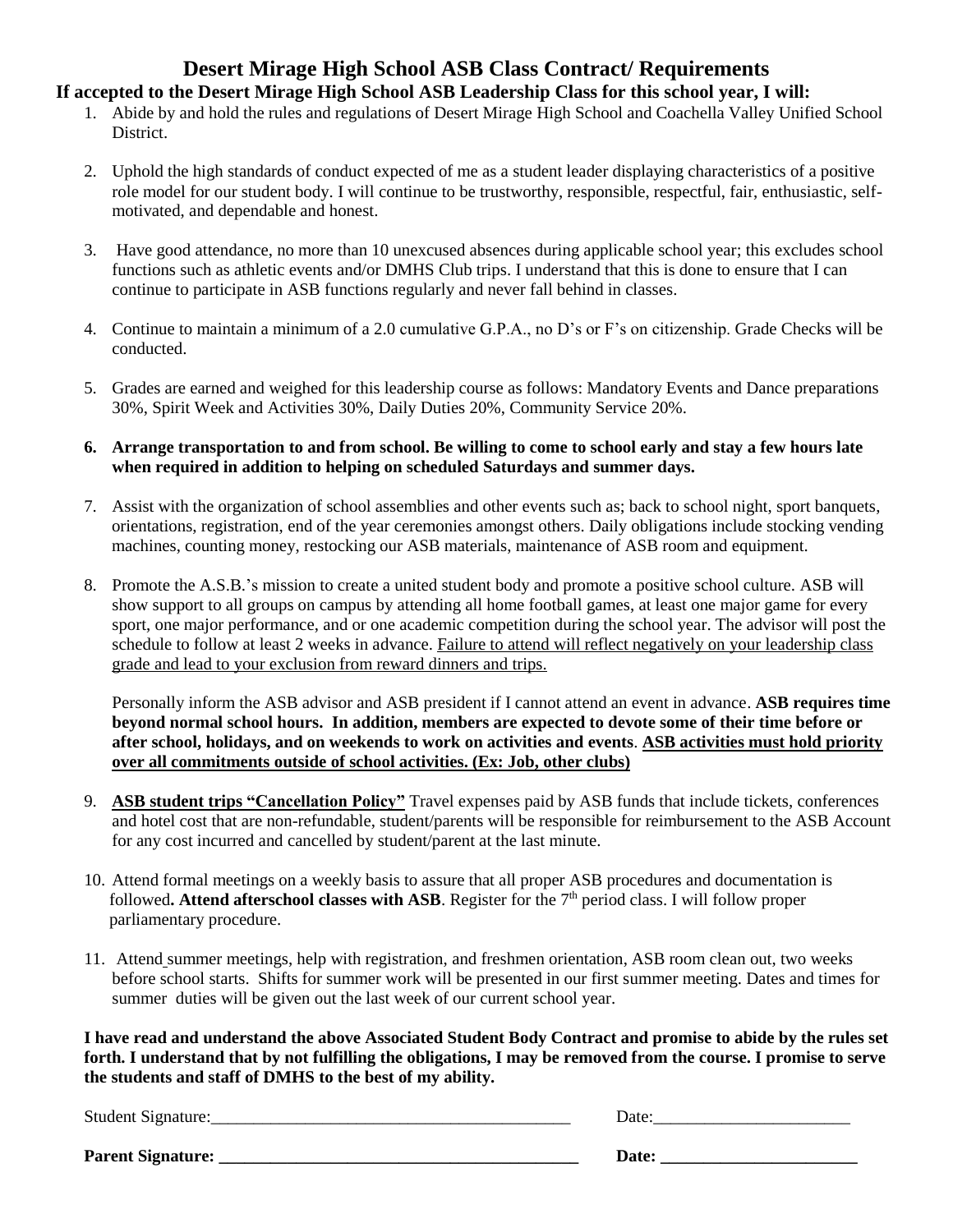# **Desert Mirage High School ASB Class Contract/ Requirements**

### **If accepted to the Desert Mirage High School ASB Leadership Class for this school year, I will:**

- 1. Abide by and hold the rules and regulations of Desert Mirage High School and Coachella Valley Unified School **District**
- 2. Uphold the high standards of conduct expected of me as a student leader displaying characteristics of a positive role model for our student body. I will continue to be trustworthy, responsible, respectful, fair, enthusiastic, selfmotivated, and dependable and honest.
- 3. Have good attendance, no more than 10 unexcused absences during applicable school year; this excludes school functions such as athletic events and/or DMHS Club trips. I understand that this is done to ensure that I can continue to participate in ASB functions regularly and never fall behind in classes.
- 4. Continue to maintain a minimum of a 2.0 cumulative G.P.A., no D's or F's on citizenship. Grade Checks will be conducted.
- 5. Grades are earned and weighed for this leadership course as follows: Mandatory Events and Dance preparations 30%, Spirit Week and Activities 30%, Daily Duties 20%, Community Service 20%.
- **6. Arrange transportation to and from school. Be willing to come to school early and stay a few hours late when required in addition to helping on scheduled Saturdays and summer days.**
- 7. Assist with the organization of school assemblies and other events such as; back to school night, sport banquets, orientations, registration, end of the year ceremonies amongst others. Daily obligations include stocking vending machines, counting money, restocking our ASB materials, maintenance of ASB room and equipment.
- 8. Promote the A.S.B.'s mission to create a united student body and promote a positive school culture. ASB will show support to all groups on campus by attending all home football games, at least one major game for every sport, one major performance, and or one academic competition during the school year. The advisor will post the schedule to follow at least 2 weeks in advance. Failure to attend will reflect negatively on your leadership class grade and lead to your exclusion from reward dinners and trips.

Personally inform the ASB advisor and ASB president if I cannot attend an event in advance. **ASB requires time beyond normal school hours. In addition, members are expected to devote some of their time before or after school, holidays, and on weekends to work on activities and events**. **ASB activities must hold priority over all commitments outside of school activities. (Ex: Job, other clubs)**

- 9. **ASB student trips "Cancellation Policy"** Travel expenses paid by ASB funds that include tickets, conferences and hotel cost that are non-refundable, student/parents will be responsible for reimbursement to the ASB Account for any cost incurred and cancelled by student/parent at the last minute.
- 10. Attend formal meetings on a weekly basis to assure that all proper ASB procedures and documentation is followed. Attend afterschool classes with ASB. Register for the 7<sup>th</sup> period class. I will follow proper parliamentary procedure.
- 11. Attend summer meetings, help with registration, and freshmen orientation, ASB room clean out, two weeks before school starts. Shifts for summer work will be presented in our first summer meeting. Dates and times for summer duties will be given out the last week of our current school year.

**I have read and understand the above Associated Student Body Contract and promise to abide by the rules set forth. I understand that by not fulfilling the obligations, I may be removed from the course. I promise to serve the students and staff of DMHS to the best of my ability.**

Student Signature:\_\_\_\_\_\_\_\_\_\_\_\_\_\_\_\_\_\_\_\_\_\_\_\_\_\_\_\_\_\_\_\_\_\_\_\_\_\_\_\_\_\_ Date:\_\_\_\_\_\_\_\_\_\_\_\_\_\_\_\_\_\_\_\_\_\_\_

| Date: |  |  |  |
|-------|--|--|--|
|       |  |  |  |

**Parent Signature: \_\_\_\_\_\_\_\_\_\_\_\_\_\_\_\_\_\_\_\_\_\_\_\_\_\_\_\_\_\_\_\_\_\_\_\_\_\_\_\_\_\_ Date: \_\_\_\_\_\_\_\_\_\_\_\_\_\_\_\_\_\_\_\_\_\_\_**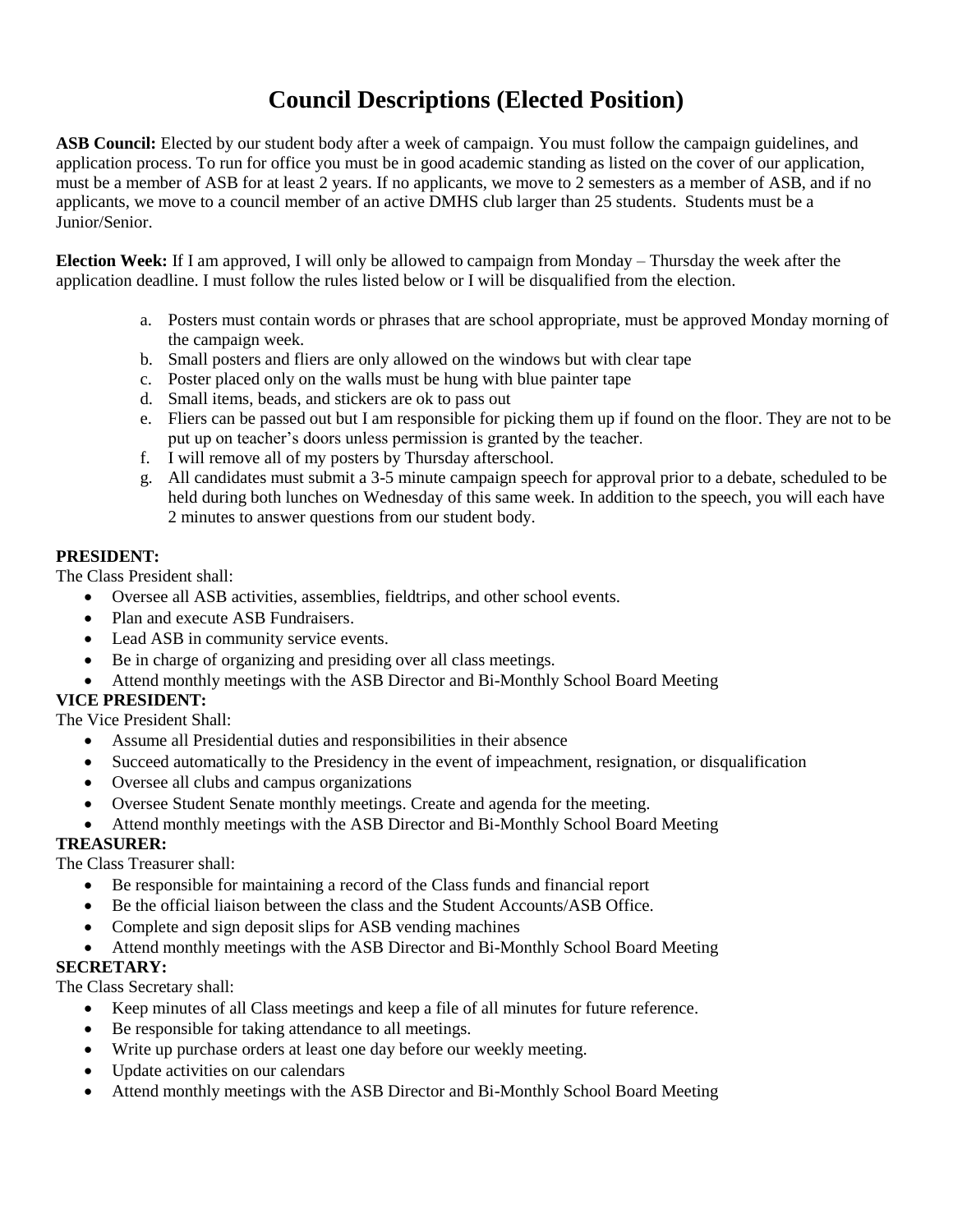## **Council Descriptions (Elected Position)**

**ASB Council:** Elected by our student body after a week of campaign. You must follow the campaign guidelines, and application process. To run for office you must be in good academic standing as listed on the cover of our application, must be a member of ASB for at least 2 years. If no applicants, we move to 2 semesters as a member of ASB, and if no applicants, we move to a council member of an active DMHS club larger than 25 students. Students must be a Junior/Senior.

**Election Week:** If I am approved, I will only be allowed to campaign from Monday – Thursday the week after the application deadline. I must follow the rules listed below or I will be disqualified from the election.

- a. Posters must contain words or phrases that are school appropriate, must be approved Monday morning of the campaign week.
- b. Small posters and fliers are only allowed on the windows but with clear tape
- c. Poster placed only on the walls must be hung with blue painter tape
- d. Small items, beads, and stickers are ok to pass out
- e. Fliers can be passed out but I am responsible for picking them up if found on the floor. They are not to be put up on teacher's doors unless permission is granted by the teacher.
- f. I will remove all of my posters by Thursday afterschool.
- g. All candidates must submit a 3-5 minute campaign speech for approval prior to a debate, scheduled to be held during both lunches on Wednesday of this same week. In addition to the speech, you will each have 2 minutes to answer questions from our student body.

#### **PRESIDENT:**

The Class President shall:

- Oversee all ASB activities, assemblies, fieldtrips, and other school events.
- Plan and execute ASB Fundraisers.
- Lead ASB in community service events.
- Be in charge of organizing and presiding over all class meetings.
- Attend monthly meetings with the ASB Director and Bi-Monthly School Board Meeting

#### **VICE PRESIDENT:**

The Vice President Shall:

- Assume all Presidential duties and responsibilities in their absence
- Succeed automatically to the Presidency in the event of impeachment, resignation, or disqualification
- Oversee all clubs and campus organizations
- Oversee Student Senate monthly meetings. Create and agenda for the meeting.
- Attend monthly meetings with the ASB Director and Bi-Monthly School Board Meeting

#### **TREASURER:**

The Class Treasurer shall:

- Be responsible for maintaining a record of the Class funds and financial report
- Be the official liaison between the class and the Student Accounts/ASB Office.
- Complete and sign deposit slips for ASB vending machines
- Attend monthly meetings with the ASB Director and Bi-Monthly School Board Meeting

#### **SECRETARY:**

The Class Secretary shall:

- Keep minutes of all Class meetings and keep a file of all minutes for future reference.
- Be responsible for taking attendance to all meetings.
- Write up purchase orders at least one day before our weekly meeting.
- Update activities on our calendars
- Attend monthly meetings with the ASB Director and Bi-Monthly School Board Meeting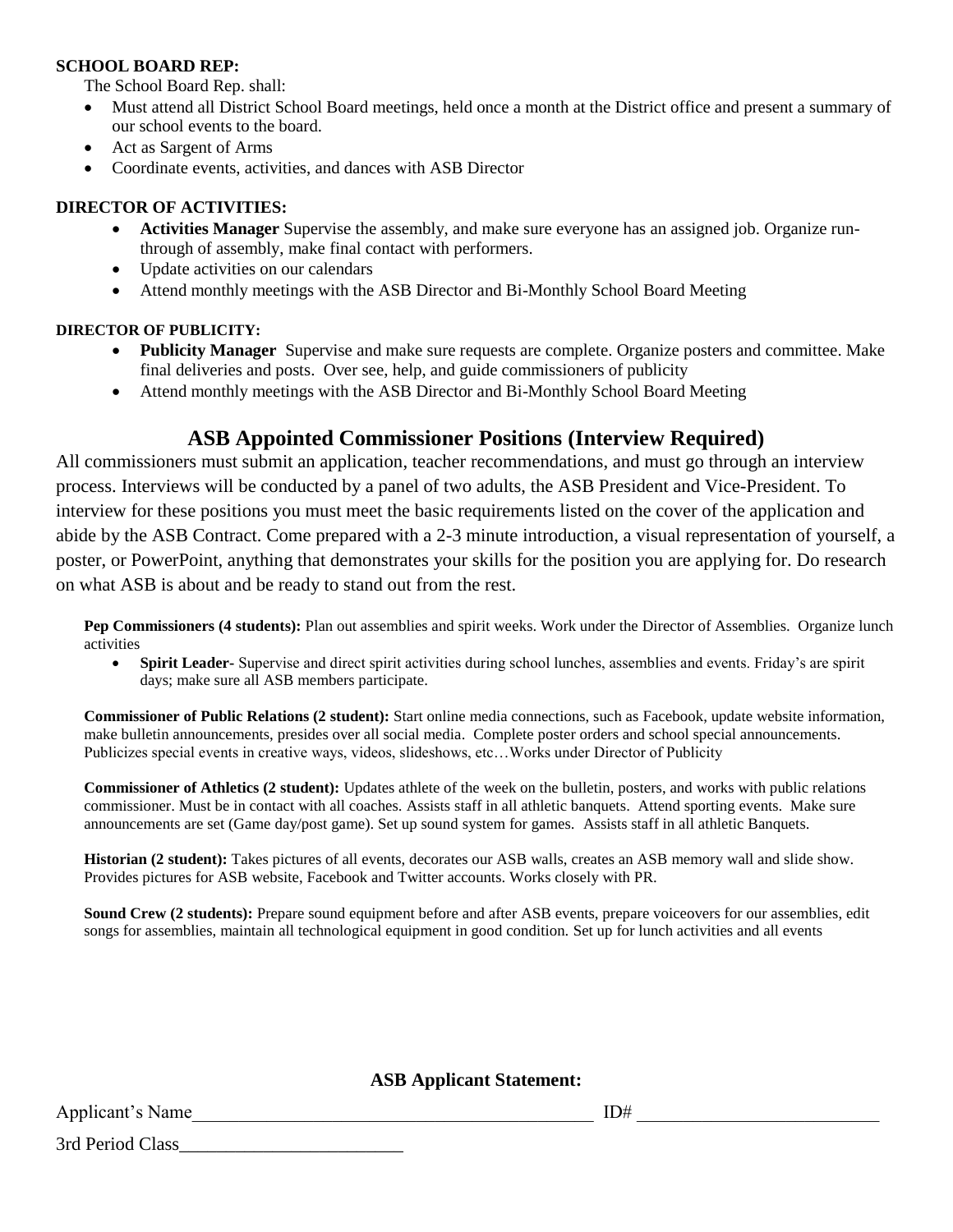#### **SCHOOL BOARD REP:**

The School Board Rep. shall:

- Must attend all District School Board meetings, held once a month at the District office and present a summary of our school events to the board.
- Act as Sargent of Arms
- Coordinate events, activities, and dances with ASB Director

#### **DIRECTOR OF ACTIVITIES:**

- **Activities Manager** Supervise the assembly, and make sure everyone has an assigned job. Organize runthrough of assembly, make final contact with performers.
- Update activities on our calendars
- Attend monthly meetings with the ASB Director and Bi-Monthly School Board Meeting

#### **DIRECTOR OF PUBLICITY:**

- **Publicity Manager** Supervise and make sure requests are complete. Organize posters and committee. Make final deliveries and posts. Over see, help, and guide commissioners of publicity
- Attend monthly meetings with the ASB Director and Bi-Monthly School Board Meeting

### **ASB Appointed Commissioner Positions (Interview Required)**

All commissioners must submit an application, teacher recommendations, and must go through an interview process. Interviews will be conducted by a panel of two adults, the ASB President and Vice-President. To interview for these positions you must meet the basic requirements listed on the cover of the application and abide by the ASB Contract. Come prepared with a 2-3 minute introduction, a visual representation of yourself, a poster, or PowerPoint, anything that demonstrates your skills for the position you are applying for. Do research on what ASB is about and be ready to stand out from the rest.

**Pep Commissioners (4 students):** Plan out assemblies and spirit weeks. Work under the Director of Assemblies. Organize lunch activities

• **Spirit Leader-** Supervise and direct spirit activities during school lunches, assemblies and events. Friday's are spirit days; make sure all ASB members participate.

**Commissioner of Public Relations (2 student):** Start online media connections, such as Facebook, update website information, make bulletin announcements, presides over all social media. Complete poster orders and school special announcements. Publicizes special events in creative ways, videos, slideshows, etc…Works under Director of Publicity

**Commissioner of Athletics (2 student):** Updates athlete of the week on the bulletin, posters, and works with public relations commissioner. Must be in contact with all coaches. Assists staff in all athletic banquets. Attend sporting events. Make sure announcements are set (Game day/post game). Set up sound system for games. Assists staff in all athletic Banquets.

**Historian (2 student):** Takes pictures of all events, decorates our ASB walls, creates an ASB memory wall and slide show. Provides pictures for ASB website, Facebook and Twitter accounts. Works closely with PR.

**Sound Crew (2 students):** Prepare sound equipment before and after ASB events, prepare voiceovers for our assemblies, edit songs for assemblies, maintain all technological equipment in good condition. Set up for lunch activities and all events

**ASB Applicant Statement:**

Applicant's Name

3rd Period Class\_\_\_\_\_\_\_\_\_\_\_\_\_\_\_\_\_\_\_\_\_\_\_\_